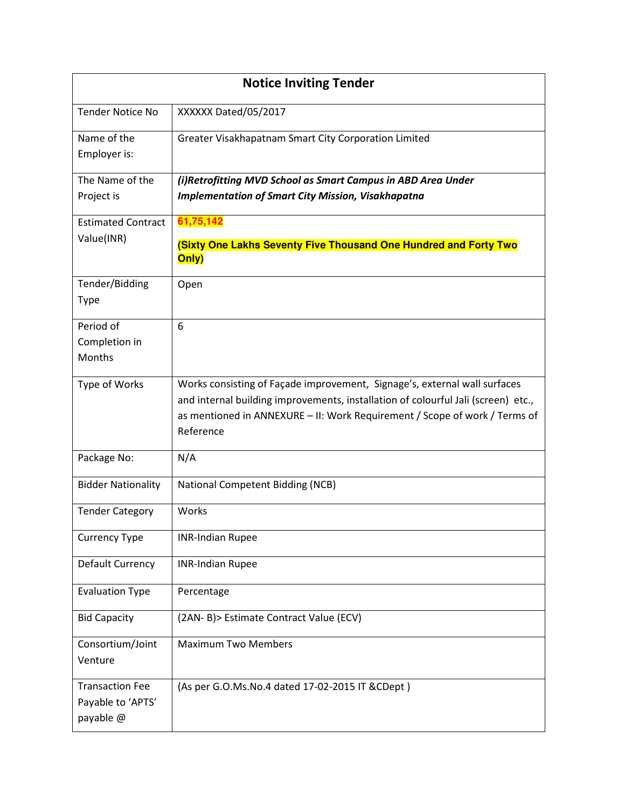| <b>Notice Inviting Tender</b>                            |                                                                                                                                                                                                                                                           |  |  |  |  |
|----------------------------------------------------------|-----------------------------------------------------------------------------------------------------------------------------------------------------------------------------------------------------------------------------------------------------------|--|--|--|--|
| <b>Tender Notice No</b>                                  | XXXXXX Dated/05/2017                                                                                                                                                                                                                                      |  |  |  |  |
| Name of the<br>Employer is:                              | Greater Visakhapatnam Smart City Corporation Limited                                                                                                                                                                                                      |  |  |  |  |
| The Name of the<br>Project is                            | (i)Retrofitting MVD School as Smart Campus in ABD Area Under<br><b>Implementation of Smart City Mission, Visakhapatna</b>                                                                                                                                 |  |  |  |  |
| <b>Estimated Contract</b><br>Value(INR)                  | 61,75,142<br>(Sixty One Lakhs Seventy Five Thousand One Hundred and Forty Two<br>Only)                                                                                                                                                                    |  |  |  |  |
| Tender/Bidding<br><b>Type</b>                            | Open                                                                                                                                                                                                                                                      |  |  |  |  |
| Period of<br>Completion in<br>Months                     | 6                                                                                                                                                                                                                                                         |  |  |  |  |
| Type of Works                                            | Works consisting of Façade improvement, Signage's, external wall surfaces<br>and internal building improvements, installation of colourful Jali (screen) etc.,<br>as mentioned in ANNEXURE - II: Work Requirement / Scope of work / Terms of<br>Reference |  |  |  |  |
| Package No:                                              | N/A                                                                                                                                                                                                                                                       |  |  |  |  |
| <b>Bidder Nationality</b>                                | National Competent Bidding (NCB)                                                                                                                                                                                                                          |  |  |  |  |
| <b>Tender Category</b>                                   | Works                                                                                                                                                                                                                                                     |  |  |  |  |
| <b>Currency Type</b>                                     | <b>INR-Indian Rupee</b>                                                                                                                                                                                                                                   |  |  |  |  |
| Default Currency                                         | <b>INR-Indian Rupee</b>                                                                                                                                                                                                                                   |  |  |  |  |
| <b>Evaluation Type</b>                                   | Percentage                                                                                                                                                                                                                                                |  |  |  |  |
| <b>Bid Capacity</b>                                      | (2AN- B) > Estimate Contract Value (ECV)                                                                                                                                                                                                                  |  |  |  |  |
| Consortium/Joint<br>Venture                              | <b>Maximum Two Members</b>                                                                                                                                                                                                                                |  |  |  |  |
| <b>Transaction Fee</b><br>Payable to 'APTS'<br>payable @ | (As per G.O.Ms.No.4 dated 17-02-2015 IT & CDept)                                                                                                                                                                                                          |  |  |  |  |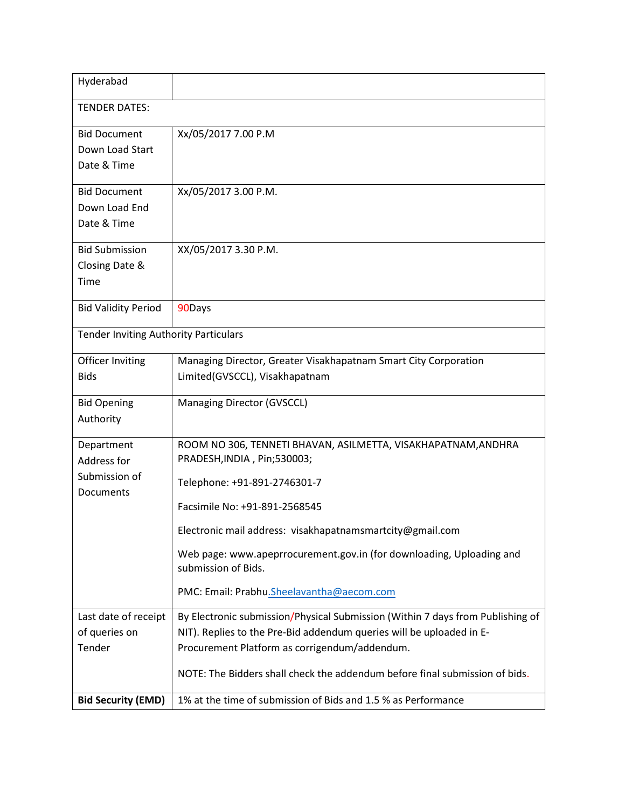| Hyderabad                                    |                                                                                             |  |  |  |
|----------------------------------------------|---------------------------------------------------------------------------------------------|--|--|--|
| <b>TENDER DATES:</b>                         |                                                                                             |  |  |  |
| <b>Bid Document</b>                          | Xx/05/2017 7.00 P.M                                                                         |  |  |  |
| Down Load Start                              |                                                                                             |  |  |  |
| Date & Time                                  |                                                                                             |  |  |  |
| <b>Bid Document</b>                          | Xx/05/2017 3.00 P.M.                                                                        |  |  |  |
| Down Load End                                |                                                                                             |  |  |  |
| Date & Time                                  |                                                                                             |  |  |  |
| <b>Bid Submission</b>                        | XX/05/2017 3.30 P.M.                                                                        |  |  |  |
| Closing Date &                               |                                                                                             |  |  |  |
| Time                                         |                                                                                             |  |  |  |
| <b>Bid Validity Period</b>                   | 90Days                                                                                      |  |  |  |
| <b>Tender Inviting Authority Particulars</b> |                                                                                             |  |  |  |
| Officer Inviting                             | Managing Director, Greater Visakhapatnam Smart City Corporation                             |  |  |  |
| <b>Bids</b>                                  | Limited(GVSCCL), Visakhapatnam                                                              |  |  |  |
| <b>Bid Opening</b>                           | Managing Director (GVSCCL)                                                                  |  |  |  |
| Authority                                    |                                                                                             |  |  |  |
| Department                                   | ROOM NO 306, TENNETI BHAVAN, ASILMETTA, VISAKHAPATNAM, ANDHRA                               |  |  |  |
| Address for                                  | PRADESH, INDIA, Pin; 530003;                                                                |  |  |  |
| Submission of<br>Documents                   | Telephone: +91-891-2746301-7                                                                |  |  |  |
|                                              | Facsimile No: +91-891-2568545                                                               |  |  |  |
|                                              | Electronic mail address: visakhapatnamsmartcity@gmail.com                                   |  |  |  |
|                                              | Web page: www.apeprrocurement.gov.in (for downloading, Uploading and<br>submission of Bids. |  |  |  |
|                                              | PMC: Email: Prabhu.Sheelavantha@aecom.com                                                   |  |  |  |
| Last date of receipt                         | By Electronic submission/Physical Submission (Within 7 days from Publishing of              |  |  |  |
| of queries on                                | NIT). Replies to the Pre-Bid addendum queries will be uploaded in E-                        |  |  |  |
| Tender                                       | Procurement Platform as corrigendum/addendum.                                               |  |  |  |
|                                              | NOTE: The Bidders shall check the addendum before final submission of bids.                 |  |  |  |
| <b>Bid Security (EMD)</b>                    | 1% at the time of submission of Bids and 1.5 % as Performance                               |  |  |  |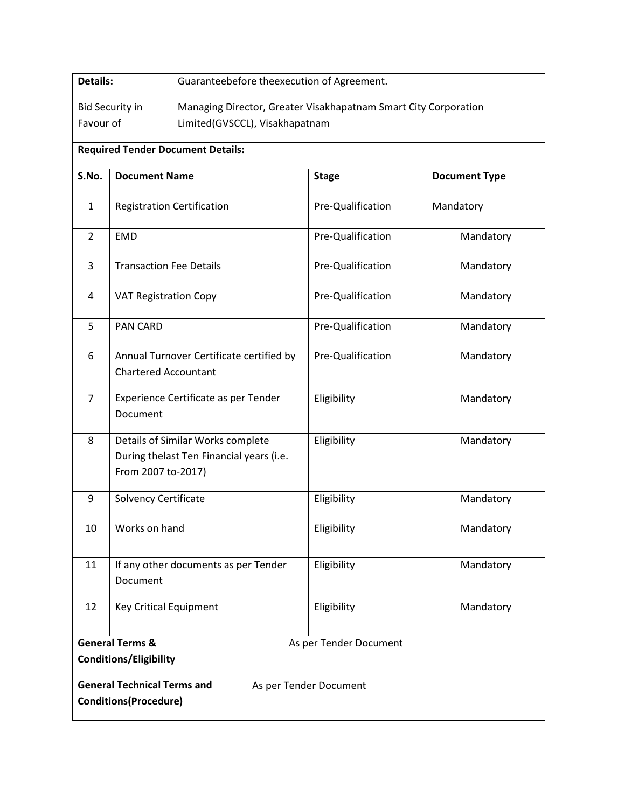| Details:                                 |                                                                                                     | Guaranteebefore theexecution of Agreement.                      |             |                          |                      |  |  |
|------------------------------------------|-----------------------------------------------------------------------------------------------------|-----------------------------------------------------------------|-------------|--------------------------|----------------------|--|--|
| <b>Bid Security in</b>                   |                                                                                                     | Managing Director, Greater Visakhapatnam Smart City Corporation |             |                          |                      |  |  |
| Favour of                                |                                                                                                     | Limited(GVSCCL), Visakhapatnam                                  |             |                          |                      |  |  |
| <b>Required Tender Document Details:</b> |                                                                                                     |                                                                 |             |                          |                      |  |  |
| S.No.                                    | <b>Document Name</b>                                                                                |                                                                 |             | <b>Stage</b>             | <b>Document Type</b> |  |  |
| $\mathbf{1}$                             | <b>Registration Certification</b>                                                                   |                                                                 |             | Pre-Qualification        | Mandatory            |  |  |
| $\overline{2}$                           | <b>EMD</b>                                                                                          |                                                                 |             | Pre-Qualification        | Mandatory            |  |  |
| 3                                        | <b>Transaction Fee Details</b>                                                                      |                                                                 |             | Pre-Qualification        | Mandatory            |  |  |
| 4                                        | <b>VAT Registration Copy</b>                                                                        |                                                                 |             | Pre-Qualification        | Mandatory            |  |  |
| 5                                        | <b>PAN CARD</b>                                                                                     |                                                                 |             | Pre-Qualification        | Mandatory            |  |  |
| 6                                        | Annual Turnover Certificate certified by<br><b>Chartered Accountant</b>                             |                                                                 |             | Pre-Qualification        | Mandatory            |  |  |
| $\overline{7}$                           | Experience Certificate as per Tender<br>Document                                                    |                                                                 |             | Eligibility              | Mandatory            |  |  |
| 8                                        | Details of Similar Works complete<br>During thelast Ten Financial years (i.e.<br>From 2007 to-2017) |                                                                 |             | Eligibility              | Mandatory            |  |  |
| 9                                        | Solvency Certificate                                                                                |                                                                 |             | Eligibility              | Mandatory            |  |  |
| 10                                       |                                                                                                     | Works on hand                                                   |             | Eligibility              | Mandatory            |  |  |
| 11                                       | If any other documents as per Tender<br>Document                                                    |                                                                 | Eligibility | Mandatory                |                      |  |  |
| 12                                       | <b>Key Critical Equipment</b>                                                                       |                                                                 |             | Eligibility<br>Mandatory |                      |  |  |
| <b>General Terms &amp;</b>               |                                                                                                     |                                                                 |             | As per Tender Document   |                      |  |  |
| <b>Conditions/Eligibility</b>            |                                                                                                     |                                                                 |             |                          |                      |  |  |
| <b>General Technical Terms and</b>       |                                                                                                     |                                                                 |             | As per Tender Document   |                      |  |  |
| <b>Conditions(Procedure)</b>             |                                                                                                     |                                                                 |             |                          |                      |  |  |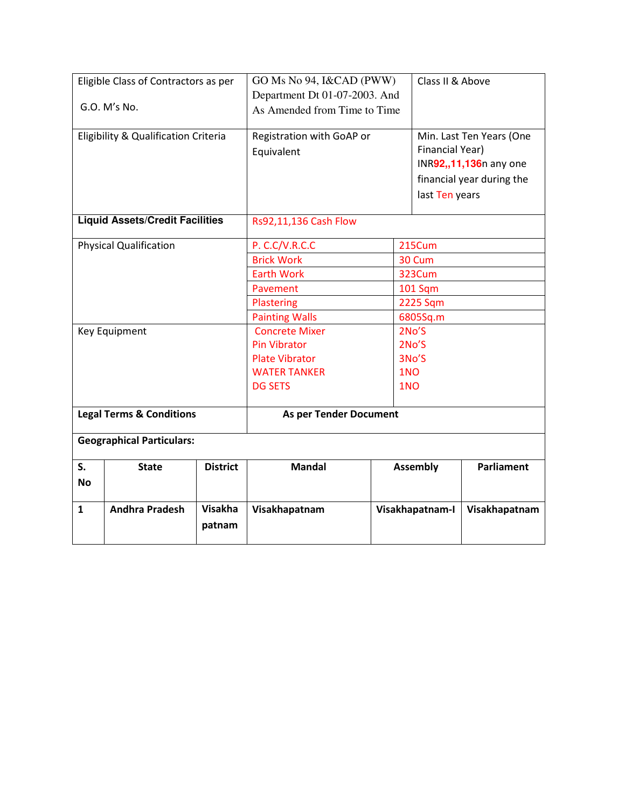| Eligible Class of Contractors as per   |                                      | GO Ms No 94, I&CAD (PWW)      |                           | Class II & Above |                           |                   |
|----------------------------------------|--------------------------------------|-------------------------------|---------------------------|------------------|---------------------------|-------------------|
|                                        |                                      | Department Dt 01-07-2003. And |                           |                  |                           |                   |
| G.O. M's No.                           |                                      | As Amended from Time to Time  |                           |                  |                           |                   |
|                                        | Eligibility & Qualification Criteria |                               | Registration with GoAP or |                  | Min. Last Ten Years (One  |                   |
|                                        |                                      |                               | Equivalent                |                  | Financial Year)           |                   |
|                                        |                                      |                               |                           |                  | INR92,,11,136n any one    |                   |
|                                        |                                      |                               |                           |                  | financial year during the |                   |
|                                        |                                      |                               |                           | last Ten years   |                           |                   |
| <b>Liquid Assets/Credit Facilities</b> |                                      |                               | Rs92,11,136 Cash Flow     |                  |                           |                   |
| <b>Physical Qualification</b>          |                                      |                               | P. C.C/V.R.C.C            |                  | 215Cum                    |                   |
|                                        |                                      |                               | <b>Brick Work</b>         |                  | 30 Cum                    |                   |
|                                        |                                      |                               | <b>Earth Work</b>         |                  | 323Cum                    |                   |
|                                        |                                      |                               | Pavement                  |                  | 101 Sqm                   |                   |
|                                        |                                      |                               | Plastering                |                  | 2225 Sqm                  |                   |
|                                        |                                      |                               | <b>Painting Walls</b>     |                  | 6805Sq.m                  |                   |
| Key Equipment                          |                                      |                               | <b>Concrete Mixer</b>     |                  | 2No'S                     |                   |
|                                        |                                      |                               | Pin Vibrator              |                  | 2No'S                     |                   |
|                                        |                                      | <b>Plate Vibrator</b>         |                           | 3No'S            |                           |                   |
|                                        |                                      | 1NO<br><b>WATER TANKER</b>    |                           |                  |                           |                   |
|                                        |                                      |                               | <b>DG SETS</b><br>1NO     |                  |                           |                   |
| <b>Legal Terms &amp; Conditions</b>    |                                      | <b>As per Tender Document</b> |                           |                  |                           |                   |
| <b>Geographical Particulars:</b>       |                                      |                               |                           |                  |                           |                   |
| S.                                     | <b>State</b>                         | <b>District</b>               | <b>Mandal</b>             |                  | <b>Assembly</b>           | <b>Parliament</b> |
| <b>No</b>                              |                                      |                               |                           |                  |                           |                   |
| $\mathbf{1}$                           | <b>Andhra Pradesh</b>                | <b>Visakha</b>                | Visakhapatnam             |                  | Visakhapatnam-I           | Visakhapatnam     |
|                                        |                                      | patnam                        |                           |                  |                           |                   |
|                                        |                                      |                               |                           |                  |                           |                   |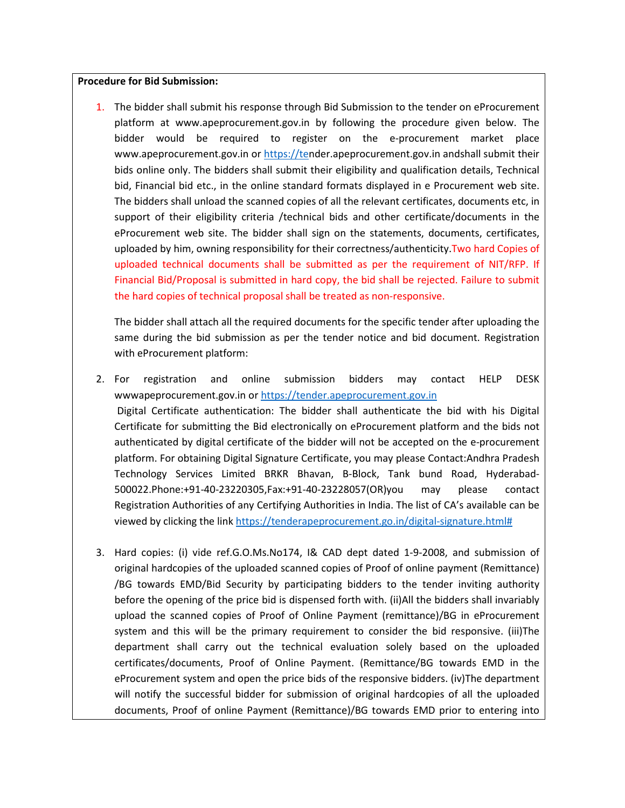## **Procedure for Bid Submission:**

1. The bidder shall submit his response through Bid Submission to the tender on eProcurement platform at www.apeprocurement.gov.in by following the procedure given below. The bidder would be required to register on the e-procurement market place www.apeprocurement.gov.in or https://tender.apeprocurement.gov.in andshall submit their bids online only. The bidders shall submit their eligibility and qualification details, Technical bid, Financial bid etc., in the online standard formats displayed in e Procurement web site. The bidders shall unload the scanned copies of all the relevant certificates, documents etc, in support of their eligibility criteria /technical bids and other certificate/documents in the eProcurement web site. The bidder shall sign on the statements, documents, certificates, uploaded by him, owning responsibility for their correctness/authenticity.Two hard Copies of uploaded technical documents shall be submitted as per the requirement of NIT/RFP. If Financial Bid/Proposal is submitted in hard copy, the bid shall be rejected. Failure to submit the hard copies of technical proposal shall be treated as non-responsive.

The bidder shall attach all the required documents for the specific tender after uploading the same during the bid submission as per the tender notice and bid document. Registration with eProcurement platform:

- 2. For registration and online submission bidders may contact HELP DESK wwwapeprocurement.gov.in or https://tender.apeprocurement.gov.in Digital Certificate authentication: The bidder shall authenticate the bid with his Digital Certificate for submitting the Bid electronically on eProcurement platform and the bids not authenticated by digital certificate of the bidder will not be accepted on the e-procurement platform. For obtaining Digital Signature Certificate, you may please Contact:Andhra Pradesh Technology Services Limited BRKR Bhavan, B-Block, Tank bund Road, Hyderabad-500022.Phone:+91-40-23220305,Fax:+91-40-23228057(OR)you may please contact Registration Authorities of any Certifying Authorities in India. The list of CA's available can be viewed by clicking the link https://tenderapeprocurement.go.in/digital-signature.html#
- 3. Hard copies: (i) vide ref.G.O.Ms.No174, I& CAD dept dated 1-9-2008, and submission of original hardcopies of the uploaded scanned copies of Proof of online payment (Remittance) /BG towards EMD/Bid Security by participating bidders to the tender inviting authority before the opening of the price bid is dispensed forth with. (ii)All the bidders shall invariably upload the scanned copies of Proof of Online Payment (remittance)/BG in eProcurement system and this will be the primary requirement to consider the bid responsive. (iii)The department shall carry out the technical evaluation solely based on the uploaded certificates/documents, Proof of Online Payment. (Remittance/BG towards EMD in the eProcurement system and open the price bids of the responsive bidders. (iv)The department will notify the successful bidder for submission of original hardcopies of all the uploaded documents, Proof of online Payment (Remittance)/BG towards EMD prior to entering into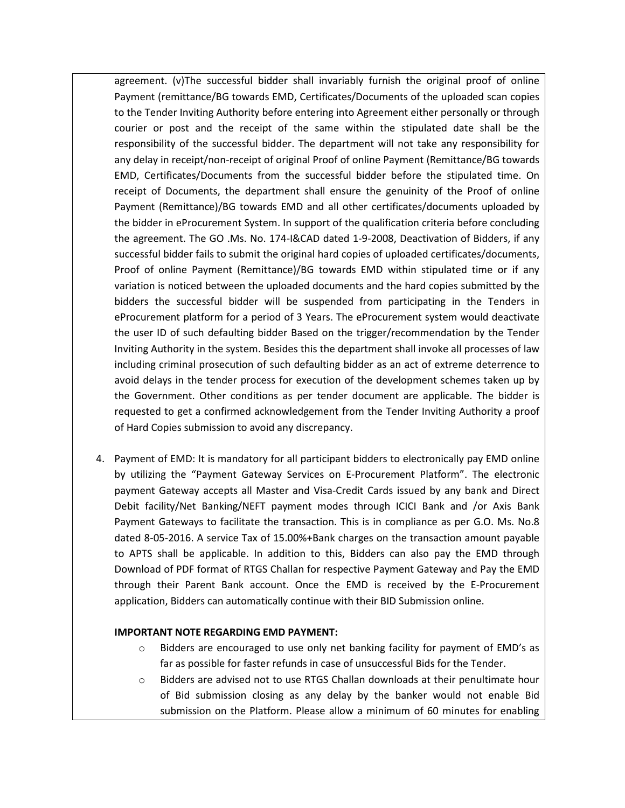agreement. (v)The successful bidder shall invariably furnish the original proof of online Payment (remittance/BG towards EMD, Certificates/Documents of the uploaded scan copies to the Tender Inviting Authority before entering into Agreement either personally or through courier or post and the receipt of the same within the stipulated date shall be the responsibility of the successful bidder. The department will not take any responsibility for any delay in receipt/non-receipt of original Proof of online Payment (Remittance/BG towards EMD, Certificates/Documents from the successful bidder before the stipulated time. On receipt of Documents, the department shall ensure the genuinity of the Proof of online Payment (Remittance)/BG towards EMD and all other certificates/documents uploaded by the bidder in eProcurement System. In support of the qualification criteria before concluding the agreement. The GO .Ms. No. 174-I&CAD dated 1-9-2008, Deactivation of Bidders, if any successful bidder fails to submit the original hard copies of uploaded certificates/documents, Proof of online Payment (Remittance)/BG towards EMD within stipulated time or if any variation is noticed between the uploaded documents and the hard copies submitted by the bidders the successful bidder will be suspended from participating in the Tenders in eProcurement platform for a period of 3 Years. The eProcurement system would deactivate the user ID of such defaulting bidder Based on the trigger/recommendation by the Tender Inviting Authority in the system. Besides this the department shall invoke all processes of law including criminal prosecution of such defaulting bidder as an act of extreme deterrence to avoid delays in the tender process for execution of the development schemes taken up by the Government. Other conditions as per tender document are applicable. The bidder is requested to get a confirmed acknowledgement from the Tender Inviting Authority a proof of Hard Copies submission to avoid any discrepancy.

4. Payment of EMD: It is mandatory for all participant bidders to electronically pay EMD online by utilizing the "Payment Gateway Services on E-Procurement Platform". The electronic payment Gateway accepts all Master and Visa-Credit Cards issued by any bank and Direct Debit facility/Net Banking/NEFT payment modes through ICICI Bank and /or Axis Bank Payment Gateways to facilitate the transaction. This is in compliance as per G.O. Ms. No.8 dated 8-05-2016. A service Tax of 15.00%+Bank charges on the transaction amount payable to APTS shall be applicable. In addition to this, Bidders can also pay the EMD through Download of PDF format of RTGS Challan for respective Payment Gateway and Pay the EMD through their Parent Bank account. Once the EMD is received by the E-Procurement application, Bidders can automatically continue with their BID Submission online.

## **IMPORTANT NOTE REGARDING EMD PAYMENT:**

- o Bidders are encouraged to use only net banking facility for payment of EMD's as far as possible for faster refunds in case of unsuccessful Bids for the Tender.
- o Bidders are advised not to use RTGS Challan downloads at their penultimate hour of Bid submission closing as any delay by the banker would not enable Bid submission on the Platform. Please allow a minimum of 60 minutes for enabling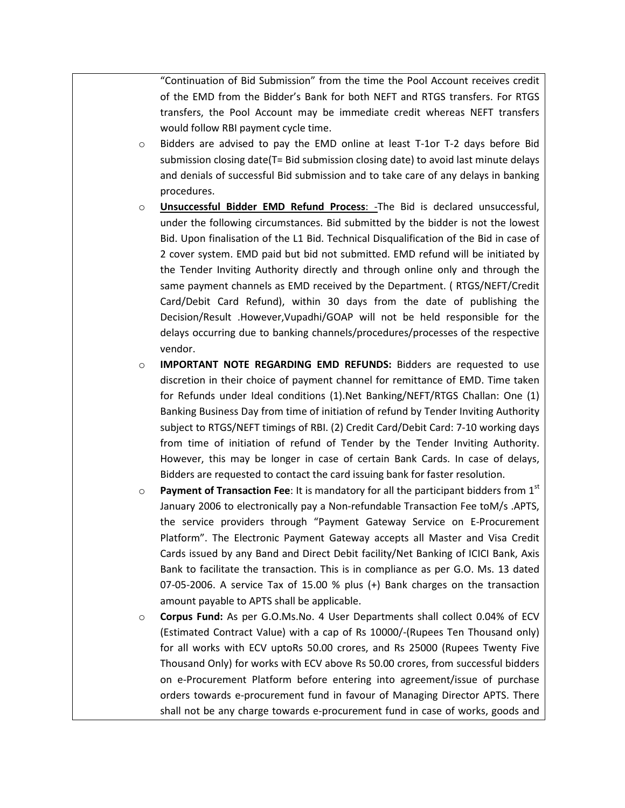"Continuation of Bid Submission" from the time the Pool Account receives credit of the EMD from the Bidder's Bank for both NEFT and RTGS transfers. For RTGS transfers, the Pool Account may be immediate credit whereas NEFT transfers would follow RBI payment cycle time.

- o Bidders are advised to pay the EMD online at least T-1or T-2 days before Bid submission closing date(T= Bid submission closing date) to avoid last minute delays and denials of successful Bid submission and to take care of any delays in banking procedures.
- o **Unsuccessful Bidder EMD Refund Process**: -The Bid is declared unsuccessful, under the following circumstances. Bid submitted by the bidder is not the lowest Bid. Upon finalisation of the L1 Bid. Technical Disqualification of the Bid in case of 2 cover system. EMD paid but bid not submitted. EMD refund will be initiated by the Tender Inviting Authority directly and through online only and through the same payment channels as EMD received by the Department. ( RTGS/NEFT/Credit Card/Debit Card Refund), within 30 days from the date of publishing the Decision/Result .However,Vupadhi/GOAP will not be held responsible for the delays occurring due to banking channels/procedures/processes of the respective vendor.
- o **IMPORTANT NOTE REGARDING EMD REFUNDS:** Bidders are requested to use discretion in their choice of payment channel for remittance of EMD. Time taken for Refunds under Ideal conditions (1).Net Banking/NEFT/RTGS Challan: One (1) Banking Business Day from time of initiation of refund by Tender Inviting Authority subject to RTGS/NEFT timings of RBI. (2) Credit Card/Debit Card: 7-10 working days from time of initiation of refund of Tender by the Tender Inviting Authority. However, this may be longer in case of certain Bank Cards. In case of delays, Bidders are requested to contact the card issuing bank for faster resolution.
- o **Payment of Transaction Fee**: It is mandatory for all the participant bidders from 1st January 2006 to electronically pay a Non-refundable Transaction Fee toM/s .APTS, the service providers through "Payment Gateway Service on E-Procurement Platform". The Electronic Payment Gateway accepts all Master and Visa Credit Cards issued by any Band and Direct Debit facility/Net Banking of ICICI Bank, Axis Bank to facilitate the transaction. This is in compliance as per G.O. Ms. 13 dated 07-05-2006. A service Tax of 15.00 % plus (+) Bank charges on the transaction amount payable to APTS shall be applicable.
- o **Corpus Fund:** As per G.O.Ms.No. 4 User Departments shall collect 0.04% of ECV (Estimated Contract Value) with a cap of Rs 10000/-(Rupees Ten Thousand only) for all works with ECV uptoRs 50.00 crores, and Rs 25000 (Rupees Twenty Five Thousand Only) for works with ECV above Rs 50.00 crores, from successful bidders on e-Procurement Platform before entering into agreement/issue of purchase orders towards e-procurement fund in favour of Managing Director APTS. There shall not be any charge towards e-procurement fund in case of works, goods and